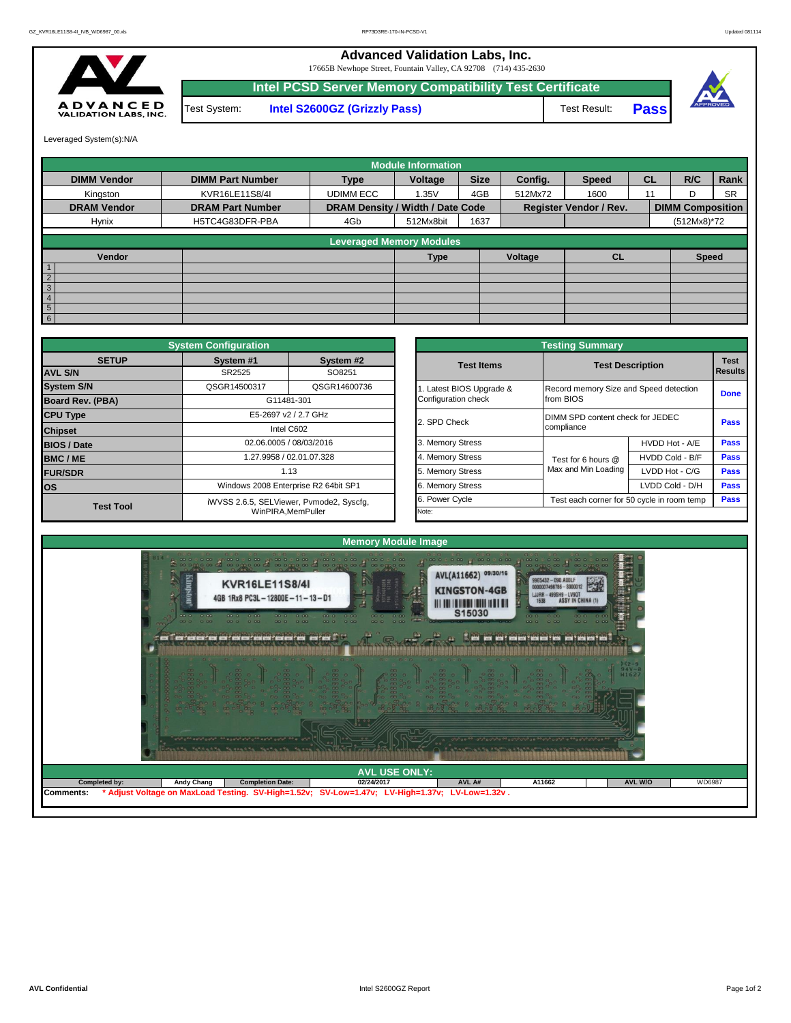## **Advanced Validation Labs, Inc.**

17665B Newhope Street, Fountain Valley, CA 92708 (714) 435-2630



**Intel PCSD Server Memory Compatibility Test Certificate** Test System: **Intel S2600GZ (Grizzly Pass)** Test Result: **Pass** 





Leveraged System(s):N/A

|                    |                         |                                  | <b>Module Information</b> |             |         |                               |           |                         |             |
|--------------------|-------------------------|----------------------------------|---------------------------|-------------|---------|-------------------------------|-----------|-------------------------|-------------|
| <b>DIMM Vendor</b> | <b>DIMM Part Number</b> | <b>Type</b>                      | Voltage                   | <b>Size</b> | Config. | <b>Speed</b>                  | <b>CL</b> | R/C                     | <b>Rank</b> |
| Kingston           | KVR16LE11S8/4I          | <b>UDIMM ECC</b>                 | 1.35V                     | 4GB         | 512Mx72 | 1600                          | 11        | D                       | <b>SR</b>   |
| <b>DRAM Vendor</b> | <b>DRAM Part Number</b> | DRAM Density / Width / Date Code |                           |             |         | <b>Register Vendor / Rev.</b> |           | <b>DIMM Composition</b> |             |
| Hynix              | H5TC4G83DFR-PBA         | 4Gb                              | 512Mx8bit                 | 1637        |         |                               |           | (512Mx8)*72             |             |
|                    |                         | <b>Leveraged Memory Modules</b>  |                           |             |         |                               |           |                         |             |
| Vendor             |                         |                                  | <b>Type</b>               |             | Voltage | <b>CL</b>                     |           | <b>Speed</b>            |             |
|                    |                         |                                  |                           |             |         |                               |           |                         |             |
| $\overline{2}$     |                         |                                  |                           |             |         |                               |           |                         |             |
| $\overline{3}$     |                         |                                  |                           |             |         |                               |           |                         |             |
| $\overline{4}$     |                         |                                  |                           |             |         |                               |           |                         |             |
| $5\overline{5}$    |                         |                                  |                           |             |         |                               |           |                         |             |
| 6 <sup>1</sup>     |                         |                                  |                           |             |         |                               |           |                         |             |

|                                | <b>System Configuration</b> |                                          |                       | <b>Testing Summary</b>                 |                                            |                        |
|--------------------------------|-----------------------------|------------------------------------------|-----------------------|----------------------------------------|--------------------------------------------|------------------------|
| <b>SETUP</b><br><b>AVL S/N</b> | System #1<br>SR2525         | System #2<br>SO8251                      | <b>Test Items</b>     |                                        | <b>Test Description</b>                    | <b>Test</b><br>Results |
| <b>System S/N</b>              | QSGR14500317                | QSGR14600736                             | Latest BIOS Upgrade & | Record memory Size and Speed detection |                                            |                        |
| <b>Board Rev. (PBA)</b>        |                             | G11481-301                               | Configuration check   | from BIOS                              |                                            | <b>Done</b>            |
| <b>CPU Type</b>                |                             | E5-2697 v2 / 2.7 GHz                     | 2. SPD Check          | DIMM SPD content check for JEDEC       |                                            | Pass                   |
| <b>Chipset</b>                 |                             | Intel C602                               |                       | compliance                             |                                            |                        |
| <b>BIOS / Date</b>             |                             | 02.06.0005 / 08/03/2016                  | 3. Memory Stress      |                                        | HVDD Hot - A/E                             | <b>Pass</b>            |
| <b>BMC/ME</b>                  |                             | 1.27.9958 / 02.01.07.328                 | 4. Memory Stress      | Test for 6 hours @                     | HVDD Cold - B/F                            | <b>Pass</b>            |
| <b>FUR/SDR</b>                 |                             | 1.13                                     | 5. Memory Stress      | Max and Min Loading                    | LVDD Hot - C/G                             | <b>Pass</b>            |
| <b>los</b>                     |                             | Windows 2008 Enterprise R2 64bit SP1     | 6. Memory Stress      |                                        | LVDD Cold - D/H                            | Pass                   |
| <b>Test Tool</b>               |                             | iWVSS 2.6.5, SELViewer, Pvmode2, Syscfq, | 6. Power Cycle        |                                        | Test each corner for 50 cycle in room temp | <b>Pass</b>            |
|                                |                             | WinPIRA.MemPuller                        | Note:                 |                                        |                                            |                        |

| <b>Testing Summary</b>                          |                     |                                            |             |  |  |  |  |  |
|-------------------------------------------------|---------------------|--------------------------------------------|-------------|--|--|--|--|--|
| <b>Test Items</b>                               |                     | <b>Test Description</b>                    |             |  |  |  |  |  |
| 1. Latest BIOS Upgrade &<br>Configuration check | from BIOS           | Record memory Size and Speed detection     |             |  |  |  |  |  |
| 2. SPD Check                                    | compliance          | DIMM SPD content check for JEDEC           |             |  |  |  |  |  |
| 3. Memory Stress                                |                     | HVDD Hot - A/E                             | Pass        |  |  |  |  |  |
| 4. Memory Stress                                | Test for 6 hours @  | HVDD Cold - B/F                            | <b>Pass</b> |  |  |  |  |  |
| 5. Memory Stress                                | Max and Min Loading | LVDD Hot - C/G                             | <b>Pass</b> |  |  |  |  |  |
| 6. Memory Stress                                |                     | LVDD Cold - D/H                            | <b>Pass</b> |  |  |  |  |  |
| 6. Power Cycle                                  |                     | Test each corner for 50 cycle in room temp |             |  |  |  |  |  |
| Note:                                           |                     |                                            |             |  |  |  |  |  |